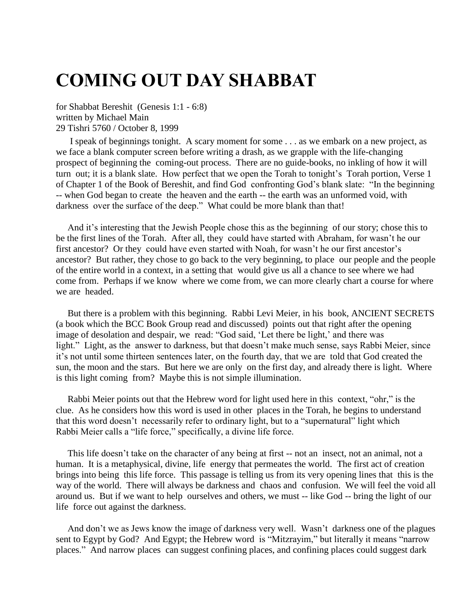## **COMING OUT DAY SHABBAT**

for Shabbat Bereshit (Genesis 1:1 - 6:8) written by Michael Main 29 Tishri 5760 / October 8, 1999

 I speak of beginnings tonight. A scary moment for some . . . as we embark on a new project, as we face a blank computer screen before writing a drash, as we grapple with the life-changing prospect of beginning the coming-out process. There are no guide-books, no inkling of how it will turn out; it is a blank slate. How perfect that we open the Torah to tonight's Torah portion, Verse 1 of Chapter 1 of the Book of Bereshit, and find God confronting God's blank slate: "In the beginning -- when God began to create the heaven and the earth -- the earth was an unformed void, with darkness over the surface of the deep." What could be more blank than that!

 And it's interesting that the Jewish People chose this as the beginning of our story; chose this to be the first lines of the Torah. After all, they could have started with Abraham, for wasn't he our first ancestor? Or they could have even started with Noah, for wasn't he our first ancestor's ancestor? But rather, they chose to go back to the very beginning, to place our people and the people of the entire world in a context, in a setting that would give us all a chance to see where we had come from. Perhaps if we know where we come from, we can more clearly chart a course for where we are headed.

 But there is a problem with this beginning. Rabbi Levi Meier, in his book, ANCIENT SECRETS (a book which the BCC Book Group read and discussed) points out that right after the opening image of desolation and despair, we read: "God said, 'Let there be light,' and there was light." Light, as the answer to darkness, but that doesn't make much sense, says Rabbi Meier, since it's not until some thirteen sentences later, on the fourth day, that we are told that God created the sun, the moon and the stars. But here we are only on the first day, and already there is light. Where is this light coming from? Maybe this is not simple illumination.

 Rabbi Meier points out that the Hebrew word for light used here in this context, "ohr," is the clue. As he considers how this word is used in other places in the Torah, he begins to understand that this word doesn't necessarily refer to ordinary light, but to a "supernatural" light which Rabbi Meier calls a "life force," specifically, a divine life force.

 This life doesn't take on the character of any being at first -- not an insect, not an animal, not a human. It is a metaphysical, divine, life energy that permeates the world. The first act of creation brings into being this life force. This passage is telling us from its very opening lines that this is the way of the world. There will always be darkness and chaos and confusion. We will feel the void all around us. But if we want to help ourselves and others, we must -- like God -- bring the light of our life force out against the darkness.

 And don't we as Jews know the image of darkness very well. Wasn't darkness one of the plagues sent to Egypt by God? And Egypt; the Hebrew word is "Mitzrayim," but literally it means "narrow places." And narrow places can suggest confining places, and confining places could suggest dark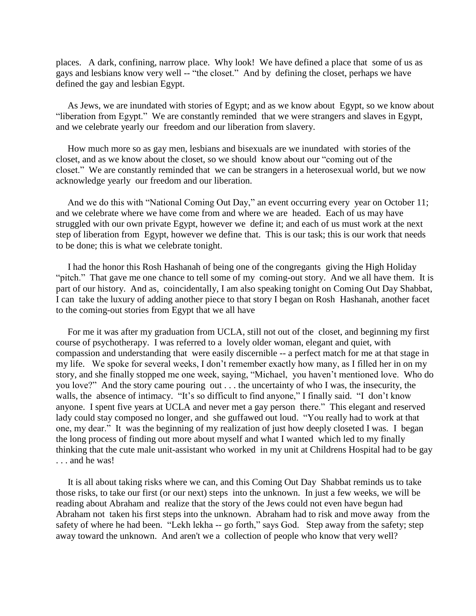places. A dark, confining, narrow place. Why look! We have defined a place that some of us as gays and lesbians know very well -- "the closet." And by defining the closet, perhaps we have defined the gay and lesbian Egypt.

 As Jews, we are inundated with stories of Egypt; and as we know about Egypt, so we know about "liberation from Egypt." We are constantly reminded that we were strangers and slaves in Egypt, and we celebrate yearly our freedom and our liberation from slavery.

 How much more so as gay men, lesbians and bisexuals are we inundated with stories of the closet, and as we know about the closet, so we should know about our "coming out of the closet." We are constantly reminded that we can be strangers in a heterosexual world, but we now acknowledge yearly our freedom and our liberation.

 And we do this with "National Coming Out Day," an event occurring every year on October 11; and we celebrate where we have come from and where we are headed. Each of us may have struggled with our own private Egypt, however we define it; and each of us must work at the next step of liberation from Egypt, however we define that. This is our task; this is our work that needs to be done; this is what we celebrate tonight.

 I had the honor this Rosh Hashanah of being one of the congregants giving the High Holiday "pitch." That gave me one chance to tell some of my coming-out story. And we all have them. It is part of our history. And as, coincidentally, I am also speaking tonight on Coming Out Day Shabbat, I can take the luxury of adding another piece to that story I began on Rosh Hashanah, another facet to the coming-out stories from Egypt that we all have

 For me it was after my graduation from UCLA, still not out of the closet, and beginning my first course of psychotherapy. I was referred to a lovely older woman, elegant and quiet, with compassion and understanding that were easily discernible -- a perfect match for me at that stage in my life. We spoke for several weeks, I don't remember exactly how many, as I filled her in on my story, and she finally stopped me one week, saying, "Michael, you haven't mentioned love. Who do you love?" And the story came pouring out . . . the uncertainty of who I was, the insecurity, the walls, the absence of intimacy. "It's so difficult to find anyone," I finally said. "I don't know anyone. I spent five years at UCLA and never met a gay person there." This elegant and reserved lady could stay composed no longer, and she guffawed out loud. "You really had to work at that one, my dear." It was the beginning of my realization of just how deeply closeted I was. I began the long process of finding out more about myself and what I wanted which led to my finally thinking that the cute male unit-assistant who worked in my unit at Childrens Hospital had to be gay . . . and he was!

 It is all about taking risks where we can, and this Coming Out Day Shabbat reminds us to take those risks, to take our first (or our next) steps into the unknown. In just a few weeks, we will be reading about Abraham and realize that the story of the Jews could not even have begun had Abraham not taken his first steps into the unknown. Abraham had to risk and move away from the safety of where he had been. "Lekh lekha -- go forth," says God. Step away from the safety; step away toward the unknown. And aren't we a collection of people who know that very well?